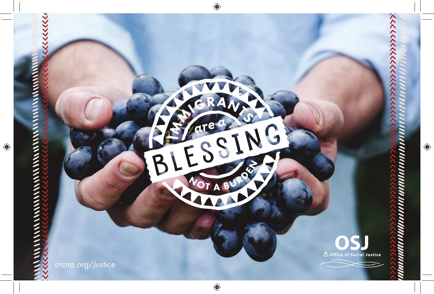